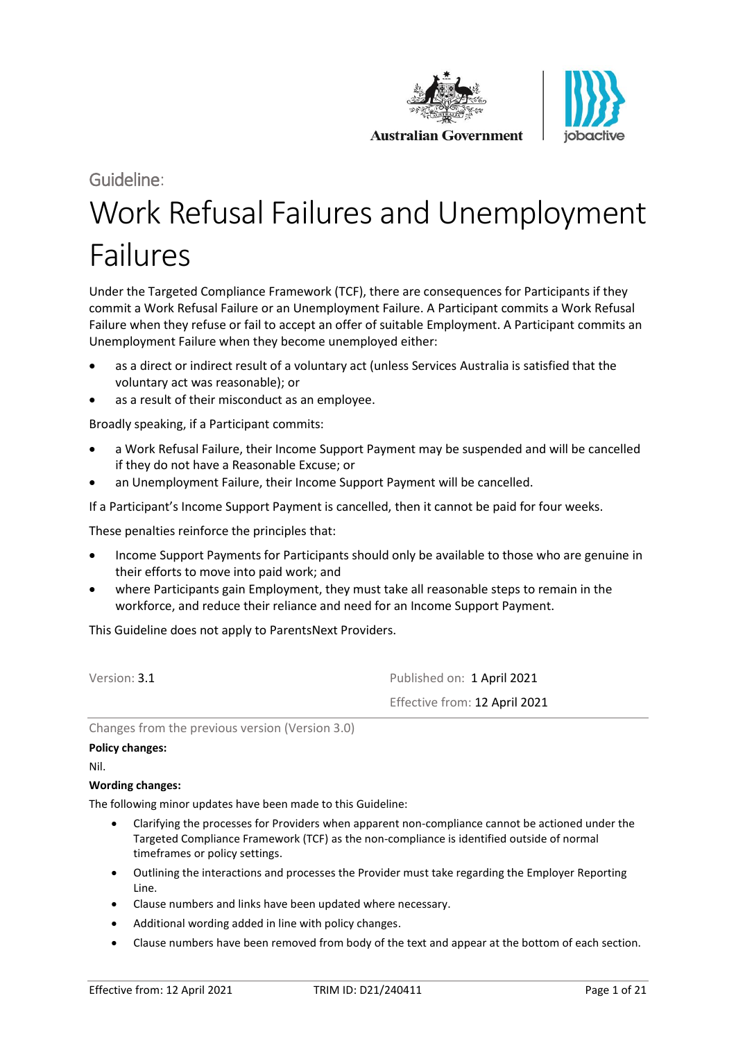



# Guideline: Work Refusal Failures and Unemployment Failures

Under the Targeted Compliance Framework (TCF), there are consequences for Participants if they commit a Work Refusal Failure or an Unemployment Failure. A Participant commits a Work Refusal Failure when they refuse or fail to accept an offer of suitable Employment. A Participant commits an Unemployment Failure when they become unemployed either:

- as a direct or indirect result of a voluntary act (unless Services Australia is satisfied that the voluntary act was reasonable); or
- as a result of their misconduct as an employee.

Broadly speaking, if a Participant commits:

- a Work Refusal Failure, their Income Support Payment may be suspended and will be cancelled if they do not have a Reasonable Excuse; or
- an Unemployment Failure, their Income Support Payment will be cancelled.

If a Participant's Income Support Payment is cancelled, then it cannot be paid for four weeks.

These penalties reinforce the principles that:

- Income Support Payments for Participants should only be available to those who are genuine in their efforts to move into paid work; and
- where Participants gain Employment, they must take all reasonable steps to remain in the workforce, and reduce their reliance and need for an Income Support Payment.

This Guideline does not apply to ParentsNext Providers.

Version: 3.1 **Published on: 1 April 2021** Effective from: 12 April 2021

Changes from the previous version (Version 3.0)

#### **Policy changes:**

Nil.

#### **Wording changes:**

The following minor updates have been made to this Guideline:

- Clarifying the processes for Providers when apparent non-compliance cannot be actioned under the Targeted Compliance Framework (TCF) as the non-compliance is identified outside of normal timeframes or policy settings.
- Outlining the interactions and processes the Provider must take regarding the Employer Reporting Line.
- Clause numbers and links have been updated where necessary.
- Additional wording added in line with policy changes.
- Clause numbers have been removed from body of the text and appear at the bottom of each section.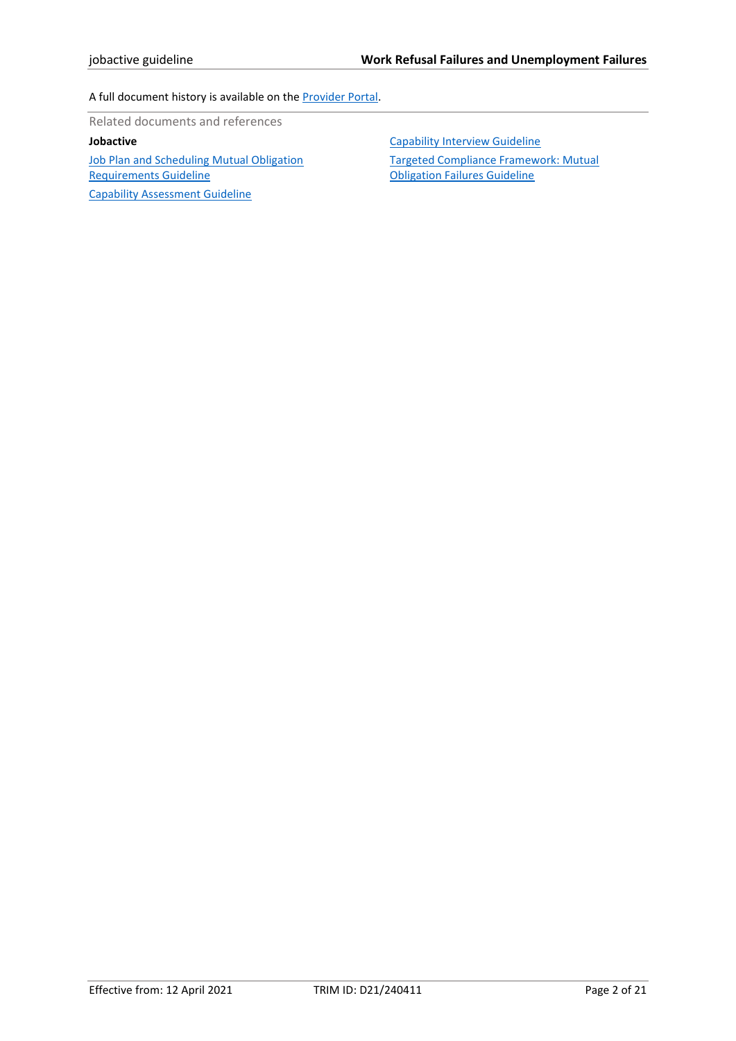#### A full document history is available on th[e Provider Portal.](https://ecsnaccess.gov.au/ProviderPortal/jobactive/ArchivedGuidelines/Pages/default.aspx)

Related documents and references

### **Jobactive**

[Job Plan and Scheduling](https://ecsnaccess.gov.au/ProviderPortal/jobactive/Guidelines/Pages/Participation-and-Compliance-Framework.aspx) Mutual Obligation [Requirements Guideline](https://ecsnaccess.gov.au/ProviderPortal/jobactive/Guidelines/Pages/Participation-and-Compliance-Framework.aspx) [Capability Assessment Guideline](https://ecsnaccess.gov.au/ProviderPortal/jobactive/Guidelines/Pages/Participation-and-Compliance-Framework.aspx)

[Capability Interview Guideline](https://ecsnaccess.gov.au/ProviderPortal/jobactive/Guidelines/Pages/Participation-and-Compliance-Framework.aspx)

[Targeted Compliance Framework: Mutual](https://ecsnaccess.gov.au/ProviderPortal/jobactive/Guidelines/Pages/Participation-and-Compliance-Framework.aspx)  [Obligation Failures Guideline](https://ecsnaccess.gov.au/ProviderPortal/jobactive/Guidelines/Pages/Participation-and-Compliance-Framework.aspx)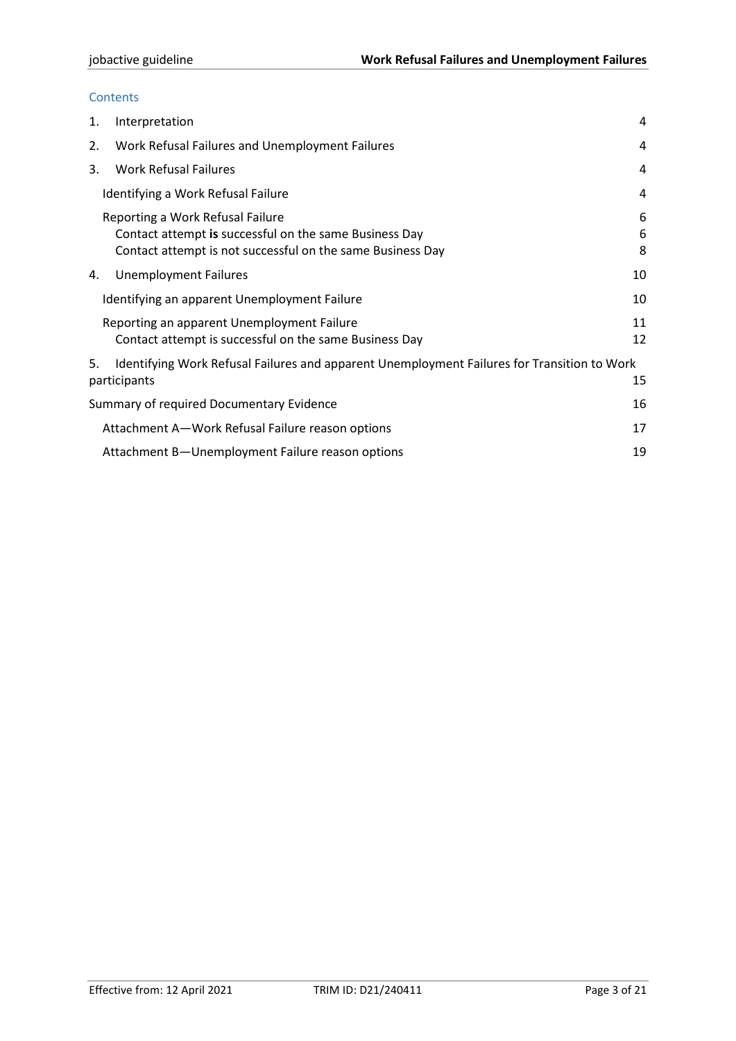#### **Contents**

| 1. | Interpretation                                                                                                                                           | 4           |
|----|----------------------------------------------------------------------------------------------------------------------------------------------------------|-------------|
| 2. | Work Refusal Failures and Unemployment Failures                                                                                                          | 4           |
| 3. | <b>Work Refusal Failures</b>                                                                                                                             | 4           |
|    | Identifying a Work Refusal Failure                                                                                                                       | 4           |
|    | Reporting a Work Refusal Failure<br>Contact attempt is successful on the same Business Day<br>Contact attempt is not successful on the same Business Day | 6<br>6<br>8 |
| 4. | <b>Unemployment Failures</b>                                                                                                                             | 10          |
|    | Identifying an apparent Unemployment Failure                                                                                                             | 10          |
|    | Reporting an apparent Unemployment Failure<br>Contact attempt is successful on the same Business Day                                                     | 11<br>12    |
| 5. | Identifying Work Refusal Failures and apparent Unemployment Failures for Transition to Work<br>participants                                              | 15          |
|    | Summary of required Documentary Evidence                                                                                                                 | 16          |
|    | Attachment A-Work Refusal Failure reason options                                                                                                         | 17          |
|    | Attachment B-Unemployment Failure reason options                                                                                                         | 19          |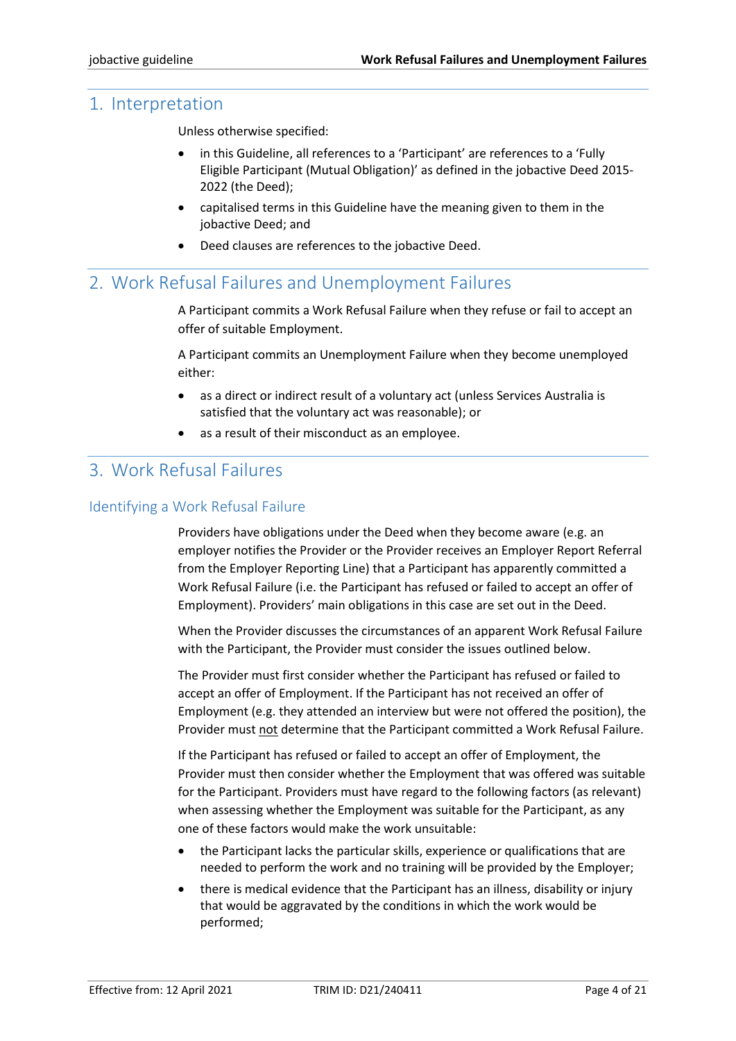# <span id="page-3-0"></span>1. Interpretation

Unless otherwise specified:

- in this Guideline, all references to a 'Participant' are references to a 'Fully Eligible Participant (Mutual Obligation)' as defined in the jobactive Deed 2015- 2022 (the Deed);
- capitalised terms in this Guideline have the meaning given to them in the jobactive Deed; and
- Deed clauses are references to the jobactive Deed.

# <span id="page-3-1"></span>2. Work Refusal Failures and Unemployment Failures

A Participant commits a Work Refusal Failure when they refuse or fail to accept an offer of suitable Employment.

A Participant commits an Unemployment Failure when they become unemployed either:

- as a direct or indirect result of a voluntary act (unless Services Australia is satisfied that the voluntary act was reasonable); or
- as a result of their misconduct as an employee.

# <span id="page-3-2"></span>3. Work Refusal Failures

# <span id="page-3-3"></span>Identifying a Work Refusal Failure

Providers have obligations under the Deed when they become aware (e.g. an employer notifies the Provider or the Provider receives an Employer Report Referral from the Employer Reporting Line) that a Participant has apparently committed a Work Refusal Failure (i.e. the Participant has refused or failed to accept an offer of Employment). Providers' main obligations in this case are set out in the Deed.

When the Provider discusses the circumstances of an apparent Work Refusal Failure with the Participant, the Provider must consider the issues outlined below.

The Provider must first consider whether the Participant has refused or failed to accept an offer of Employment. If the Participant has not received an offer of Employment (e.g. they attended an interview but were not offered the position), the Provider must not determine that the Participant committed a Work Refusal Failure.

If the Participant has refused or failed to accept an offer of Employment, the Provider must then consider whether the Employment that was offered was suitable for the Participant. Providers must have regard to the following factors (as relevant) when assessing whether the Employment was suitable for the Participant, as any one of these factors would make the work unsuitable:

- the Participant lacks the particular skills, experience or qualifications that are needed to perform the work and no training will be provided by the Employer;
- there is medical evidence that the Participant has an illness, disability or injury that would be aggravated by the conditions in which the work would be performed;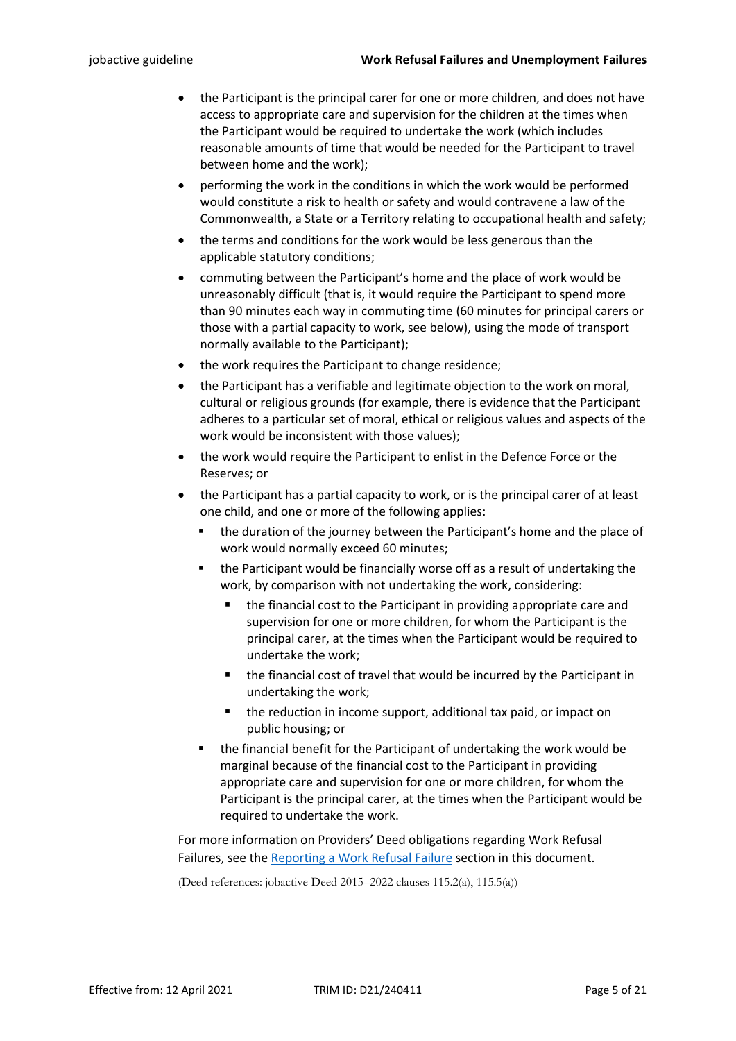- the Participant is the principal carer for one or more children, and does not have access to appropriate care and supervision for the children at the times when the Participant would be required to undertake the work (which includes reasonable amounts of time that would be needed for the Participant to travel between home and the work);
- performing the work in the conditions in which the work would be performed would constitute a risk to health or safety and would contravene a law of the Commonwealth, a State or a Territory relating to occupational health and safety;
- the terms and conditions for the work would be less generous than the applicable statutory conditions;
- commuting between the Participant's home and the place of work would be unreasonably difficult (that is, it would require the Participant to spend more than 90 minutes each way in commuting time (60 minutes for principal carers or those with a partial capacity to work, see below), using the mode of transport normally available to the Participant);
- the work requires the Participant to change residence;
- the Participant has a verifiable and legitimate objection to the work on moral, cultural or religious grounds (for example, there is evidence that the Participant adheres to a particular set of moral, ethical or religious values and aspects of the work would be inconsistent with those values);
- the work would require the Participant to enlist in the Defence Force or the Reserves; or
- the Participant has a partial capacity to work, or is the principal carer of at least one child, and one or more of the following applies:
	- the duration of the journey between the Participant's home and the place of work would normally exceed 60 minutes;
	- the Participant would be financially worse off as a result of undertaking the work, by comparison with not undertaking the work, considering:
		- the financial cost to the Participant in providing appropriate care and supervision for one or more children, for whom the Participant is the principal carer, at the times when the Participant would be required to undertake the work;
		- the financial cost of travel that would be incurred by the Participant in undertaking the work;
		- the reduction in income support, additional tax paid, or impact on public housing; or
	- the financial benefit for the Participant of undertaking the work would be marginal because of the financial cost to the Participant in providing appropriate care and supervision for one or more children, for whom the Participant is the principal carer, at the times when the Participant would be required to undertake the work.

For more information on Providers' Deed obligations regarding Work Refusal Failures, see the [Reporting a Work Refusal Failure](#page-5-0) section in this document.

(Deed references: jobactive Deed 2015–2022 clauses 115.2(a), 115.5(a))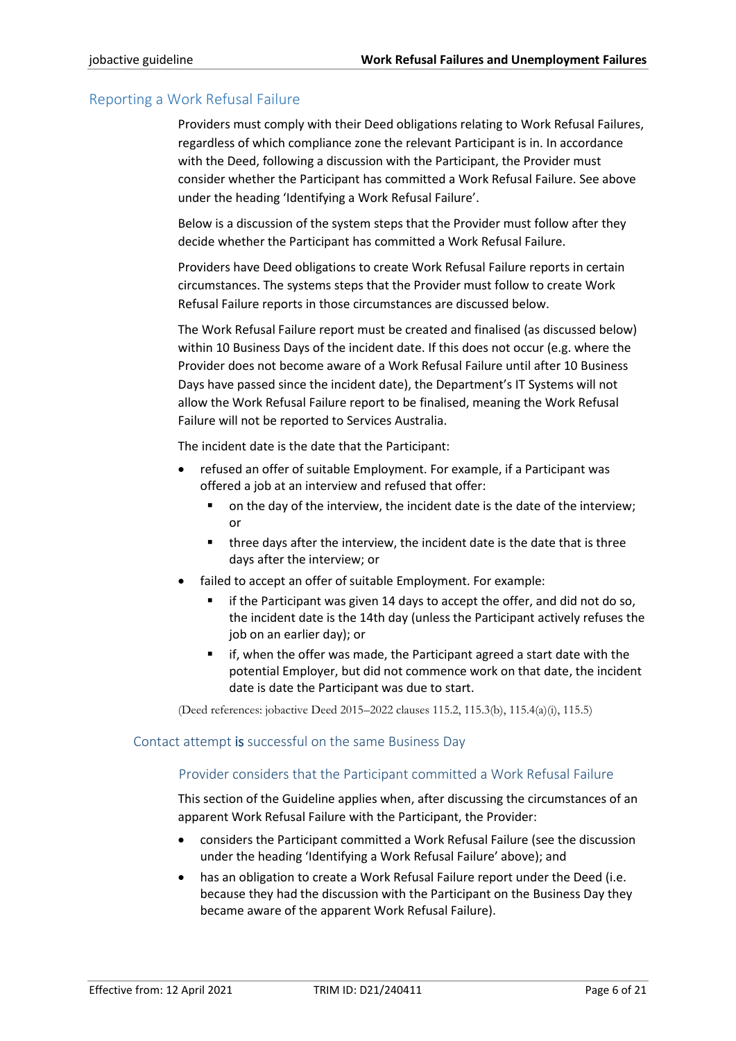# <span id="page-5-0"></span>Reporting a Work Refusal Failure

Providers must comply with their Deed obligations relating to Work Refusal Failures, regardless of which compliance zone the relevant Participant is in. In accordance with the Deed, following a discussion with the Participant, the Provider must consider whether the Participant has committed a Work Refusal Failure. See above under the heading 'Identifying a Work Refusal Failure'.

Below is a discussion of the system steps that the Provider must follow after they decide whether the Participant has committed a Work Refusal Failure.

Providers have Deed obligations to create Work Refusal Failure reports in certain circumstances. The systems steps that the Provider must follow to create Work Refusal Failure reports in those circumstances are discussed below.

The Work Refusal Failure report must be created and finalised (as discussed below) within 10 Business Days of the incident date. If this does not occur (e.g. where the Provider does not become aware of a Work Refusal Failure until after 10 Business Days have passed since the incident date), the Department's IT Systems will not allow the Work Refusal Failure report to be finalised, meaning the Work Refusal Failure will not be reported to Services Australia.

The incident date is the date that the Participant:

- refused an offer of suitable Employment. For example, if a Participant was offered a job at an interview and refused that offer:
	- on the day of the interview, the incident date is the date of the interview; or
	- three days after the interview, the incident date is the date that is three days after the interview; or
- failed to accept an offer of suitable Employment. For example:
	- if the Participant was given 14 days to accept the offer, and did not do so, the incident date is the 14th day (unless the Participant actively refuses the job on an earlier day); or
	- if, when the offer was made, the Participant agreed a start date with the potential Employer, but did not commence work on that date, the incident date is date the Participant was due to start.

(Deed references: jobactive Deed 2015–2022 clauses 115.2, 115.3(b), 115.4(a)(i), 115.5)

### <span id="page-5-1"></span>Contact attempt is successful on the same Business Day

# Provider considers that the Participant committed a Work Refusal Failure

This section of the Guideline applies when, after discussing the circumstances of an apparent Work Refusal Failure with the Participant, the Provider:

- considers the Participant committed a Work Refusal Failure (see the discussion under the heading 'Identifying a Work Refusal Failure' above); and
- has an obligation to create a Work Refusal Failure report under the Deed (i.e. because they had the discussion with the Participant on the Business Day they became aware of the apparent Work Refusal Failure).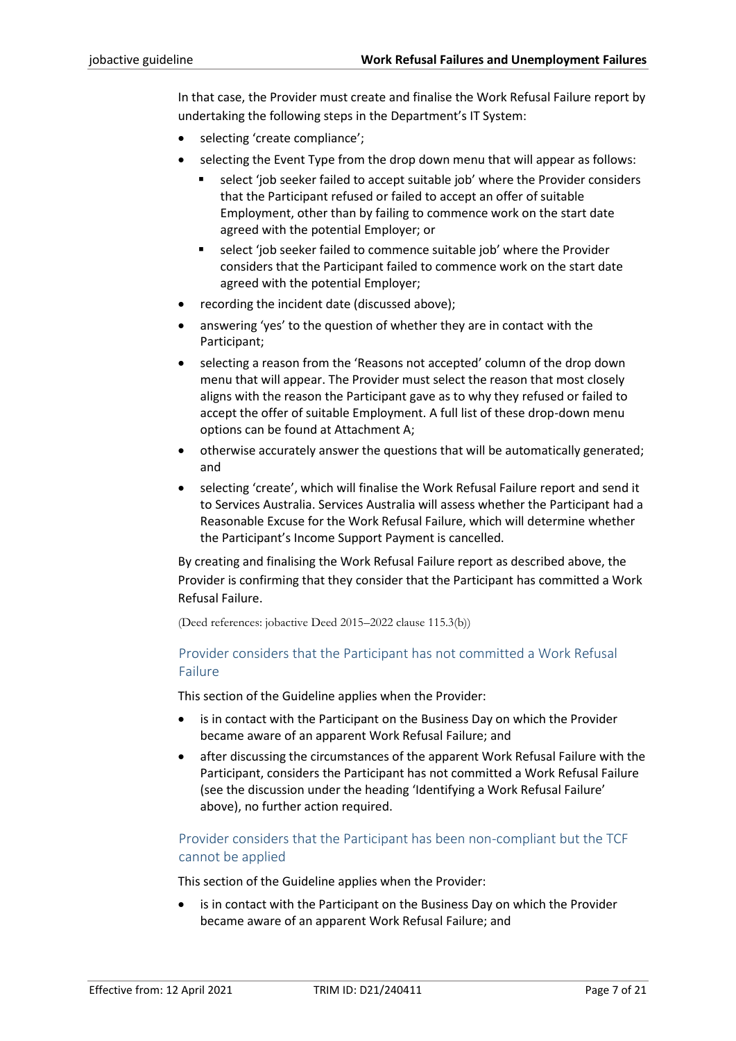In that case, the Provider must create and finalise the Work Refusal Failure report by undertaking the following steps in the Department's IT System:

- selecting 'create compliance';
- selecting the Event Type from the drop down menu that will appear as follows:
	- select 'job seeker failed to accept suitable job' where the Provider considers that the Participant refused or failed to accept an offer of suitable Employment, other than by failing to commence work on the start date agreed with the potential Employer; or
	- select 'job seeker failed to commence suitable job' where the Provider considers that the Participant failed to commence work on the start date agreed with the potential Employer;
- recording the incident date (discussed above);
- answering 'yes' to the question of whether they are in contact with the Participant;
- selecting a reason from the 'Reasons not accepted' column of the drop down menu that will appear. The Provider must select the reason that most closely aligns with the reason the Participant gave as to why they refused or failed to accept the offer of suitable Employment. A full list of these drop-down menu options can be found at Attachment A;
- otherwise accurately answer the questions that will be automatically generated; and
- selecting 'create', which will finalise the Work Refusal Failure report and send it to Services Australia. Services Australia will assess whether the Participant had a Reasonable Excuse for the Work Refusal Failure, which will determine whether the Participant's Income Support Payment is cancelled.

By creating and finalising the Work Refusal Failure report as described above, the Provider is confirming that they consider that the Participant has committed a Work Refusal Failure.

(Deed references: jobactive Deed 2015–2022 clause 115.3(b))

# Provider considers that the Participant has not committed a Work Refusal Failure

This section of the Guideline applies when the Provider:

- is in contact with the Participant on the Business Day on which the Provider became aware of an apparent Work Refusal Failure; and
- after discussing the circumstances of the apparent Work Refusal Failure with the Participant, considers the Participant has not committed a Work Refusal Failure (see the discussion under the heading 'Identifying a Work Refusal Failure' above), no further action required.

# Provider considers that the Participant has been non-compliant but the TCF cannot be applied

This section of the Guideline applies when the Provider:

is in contact with the Participant on the Business Day on which the Provider became aware of an apparent Work Refusal Failure; and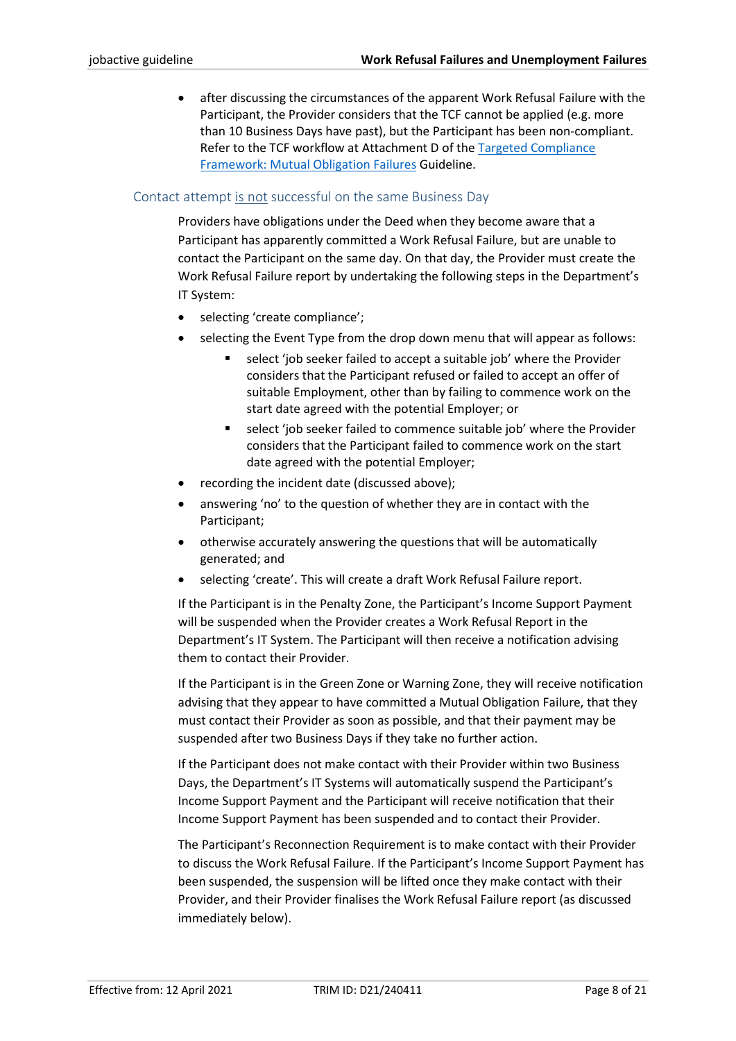• after discussing the circumstances of the apparent Work Refusal Failure with the Participant, the Provider considers that the TCF cannot be applied (e.g. more than 10 Business Days have past), but the Participant has been non-compliant. Refer to the TCF workflow at Attachment D of the [Targeted Compliance](https://ecsnaccess.gov.au/ProviderPortal/jobactive/Guidelines/Pages/Participation-and-Compliance-Framework.aspx)  [Framework: Mutual Obligation Failures](https://ecsnaccess.gov.au/ProviderPortal/jobactive/Guidelines/Pages/Participation-and-Compliance-Framework.aspx) Guideline.

## <span id="page-7-0"></span>Contact attempt is not successful on the same Business Day

Providers have obligations under the Deed when they become aware that a Participant has apparently committed a Work Refusal Failure, but are unable to contact the Participant on the same day. On that day, the Provider must create the Work Refusal Failure report by undertaking the following steps in the Department's IT System:

- selecting 'create compliance';
- selecting the Event Type from the drop down menu that will appear as follows:
	- select 'job seeker failed to accept a suitable job' where the Provider considers that the Participant refused or failed to accept an offer of suitable Employment, other than by failing to commence work on the start date agreed with the potential Employer; or
	- select 'job seeker failed to commence suitable job' where the Provider considers that the Participant failed to commence work on the start date agreed with the potential Employer;
- recording the incident date (discussed above);
- answering 'no' to the question of whether they are in contact with the Participant;
- otherwise accurately answering the questions that will be automatically generated; and
- selecting 'create'. This will create a draft Work Refusal Failure report.

If the Participant is in the Penalty Zone, the Participant's Income Support Payment will be suspended when the Provider creates a Work Refusal Report in the Department's IT System. The Participant will then receive a notification advising them to contact their Provider.

If the Participant is in the Green Zone or Warning Zone, they will receive notification advising that they appear to have committed a Mutual Obligation Failure, that they must contact their Provider as soon as possible, and that their payment may be suspended after two Business Days if they take no further action.

If the Participant does not make contact with their Provider within two Business Days, the Department's IT Systems will automatically suspend the Participant's Income Support Payment and the Participant will receive notification that their Income Support Payment has been suspended and to contact their Provider.

The Participant's Reconnection Requirement is to make contact with their Provider to discuss the Work Refusal Failure. If the Participant's Income Support Payment has been suspended, the suspension will be lifted once they make contact with their Provider, and their Provider finalises the Work Refusal Failure report (as discussed immediately below).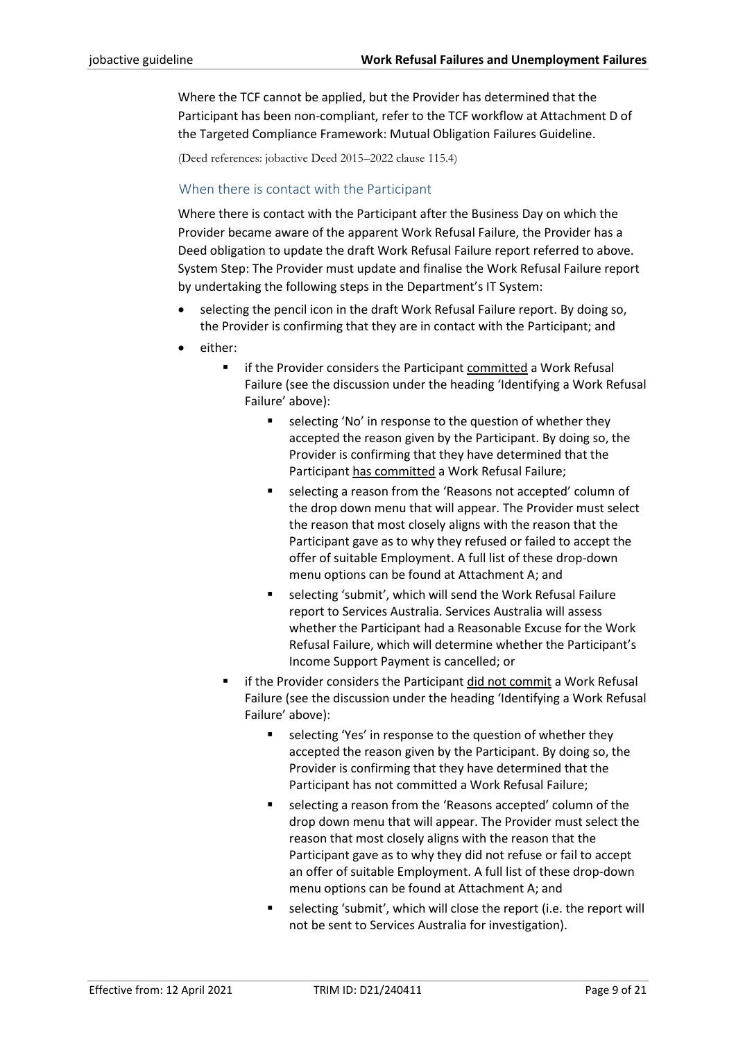Where the TCF cannot be applied, but the Provider has determined that the Participant has been non-compliant, refer to the TCF workflow at Attachment D of th[e Targeted Compliance Framework: Mutual Obligation Failures](https://ecsnaccess.gov.au/ProviderPortal/jobactive/Guidelines/Pages/Participation-and-Compliance-Framework.aspx) Guideline.

(Deed references: jobactive Deed 2015–2022 clause 115.4)

## When there is contact with the Participant

Where there is contact with the Participant after the Business Day on which the Provider became aware of the apparent Work Refusal Failure, the Provider has a Deed obligation to update the draft Work Refusal Failure report referred to above. System Step: The Provider must update and finalise the Work Refusal Failure report by undertaking the following steps in the Department's IT System:

- selecting the pencil icon in the draft Work Refusal Failure report. By doing so, the Provider is confirming that they are in contact with the Participant; and
- either:
	- if the Provider considers the Participant committed a Work Refusal Failure (see the discussion under the heading 'Identifying a Work Refusal Failure' above):
		- selecting 'No' in response to the question of whether they accepted the reason given by the Participant. By doing so, the Provider is confirming that they have determined that the Participant has committed a Work Refusal Failure;
		- selecting a reason from the 'Reasons not accepted' column of the drop down menu that will appear. The Provider must select the reason that most closely aligns with the reason that the Participant gave as to why they refused or failed to accept the offer of suitable Employment. A full list of these drop-down menu options can be found at Attachment A; and
		- selecting 'submit', which will send the Work Refusal Failure report to Services Australia. Services Australia will assess whether the Participant had a Reasonable Excuse for the Work Refusal Failure, which will determine whether the Participant's Income Support Payment is cancelled; or
	- if the Provider considers the Participant did not commit a Work Refusal Failure (see the discussion under the heading 'Identifying a Work Refusal Failure' above):
		- selecting 'Yes' in response to the question of whether they accepted the reason given by the Participant. By doing so, the Provider is confirming that they have determined that the Participant has not committed a Work Refusal Failure;
		- selecting a reason from the 'Reasons accepted' column of the drop down menu that will appear. The Provider must select the reason that most closely aligns with the reason that the Participant gave as to why they did not refuse or fail to accept an offer of suitable Employment. A full list of these drop-down menu options can be found at Attachment A; and
		- selecting 'submit', which will close the report (i.e. the report will not be sent to Services Australia for investigation).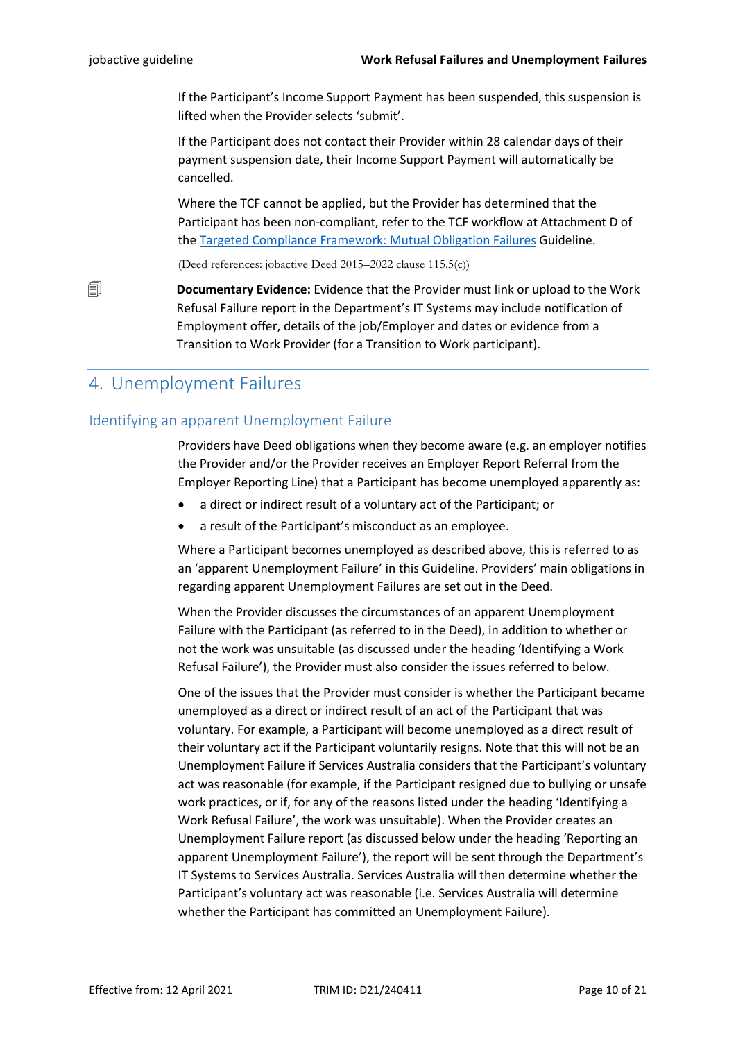If the Participant's Income Support Payment has been suspended, this suspension is lifted when the Provider selects 'submit'.

If the Participant does not contact their Provider within 28 calendar days of their payment suspension date, their Income Support Payment will automatically be cancelled.

Where the TCF cannot be applied, but the Provider has determined that the Participant has been non-compliant, refer to the TCF workflow at Attachment D of the [Targeted Compliance Framework: Mutual Obligation Failures](https://ecsnaccess.gov.au/ProviderPortal/jobactive/Guidelines/Pages/Participation-and-Compliance-Framework.aspx) Guideline.

(Deed references: jobactive Deed 2015–2022 clause 115.5(c))

 **Documentary Evidence:** Evidence that the Provider must link or upload to the Work Refusal Failure report in the Department's IT Systems may include notification of Employment offer, details of the job/Employer and dates or evidence from a Transition to Work Provider (for a Transition to Work participant).

# <span id="page-9-0"></span>4. Unemployment Failures

# <span id="page-9-1"></span>Identifying an apparent Unemployment Failure

Providers have Deed obligations when they become aware (e.g. an employer notifies the Provider and/or the Provider receives an Employer Report Referral from the Employer Reporting Line) that a Participant has become unemployed apparently as:

- a direct or indirect result of a voluntary act of the Participant; or
- a result of the Participant's misconduct as an employee.

Where a Participant becomes unemployed as described above, this is referred to as an 'apparent Unemployment Failure' in this Guideline. Providers' main obligations in regarding apparent Unemployment Failures are set out in the Deed.

When the Provider discusses the circumstances of an apparent Unemployment Failure with the Participant (as referred to in the Deed), in addition to whether or not the work was unsuitable (as discussed under the heading 'Identifying a Work Refusal Failure'), the Provider must also consider the issues referred to below.

One of the issues that the Provider must consider is whether the Participant became unemployed as a direct or indirect result of an act of the Participant that was voluntary. For example, a Participant will become unemployed as a direct result of their voluntary act if the Participant voluntarily resigns. Note that this will not be an Unemployment Failure if Services Australia considers that the Participant's voluntary act was reasonable (for example, if the Participant resigned due to bullying or unsafe work practices, or if, for any of the reasons listed under the heading 'Identifying a Work Refusal Failure', the work was unsuitable). When the Provider creates an Unemployment Failure report (as discussed below under the heading 'Reporting an apparent Unemployment Failure'), the report will be sent through the Department's IT Systems to Services Australia. Services Australia will then determine whether the Participant's voluntary act was reasonable (i.e. Services Australia will determine whether the Participant has committed an Unemployment Failure).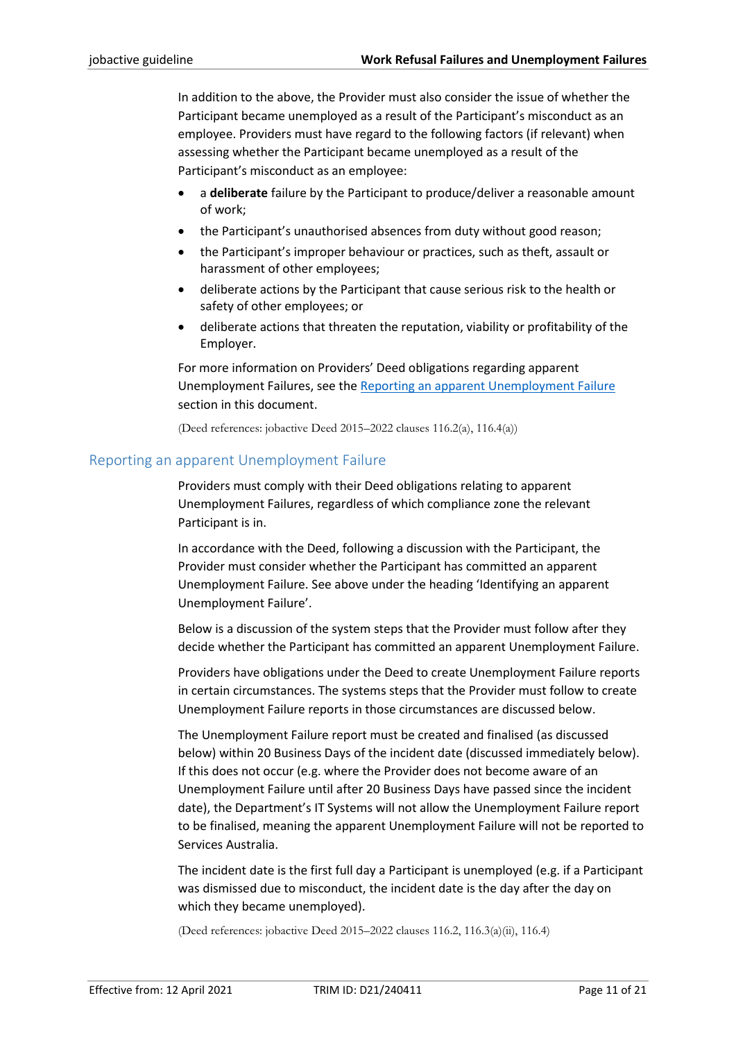In addition to the above, the Provider must also consider the issue of whether the Participant became unemployed as a result of the Participant's misconduct as an employee. Providers must have regard to the following factors (if relevant) when assessing whether the Participant became unemployed as a result of the Participant's misconduct as an employee:

- a **deliberate** failure by the Participant to produce/deliver a reasonable amount of work;
- the Participant's unauthorised absences from duty without good reason;
- the Participant's improper behaviour or practices, such as theft, assault or harassment of other employees;
- deliberate actions by the Participant that cause serious risk to the health or safety of other employees; or
- deliberate actions that threaten the reputation, viability or profitability of the Employer.

For more information on Providers' Deed obligations regarding apparent Unemployment Failures, see th[e Reporting an apparent Unemployment Failure](#page-10-0) section in this document.

(Deed references: jobactive Deed 2015–2022 clauses 116.2(a), 116.4(a))

#### <span id="page-10-0"></span>Reporting an apparent Unemployment Failure

Providers must comply with their Deed obligations relating to apparent Unemployment Failures, regardless of which compliance zone the relevant Participant is in.

In accordance with the Deed, following a discussion with the Participant, the Provider must consider whether the Participant has committed an apparent Unemployment Failure. See above under the heading 'Identifying an apparent Unemployment Failure'.

Below is a discussion of the system steps that the Provider must follow after they decide whether the Participant has committed an apparent Unemployment Failure.

Providers have obligations under the Deed to create Unemployment Failure reports in certain circumstances. The systems steps that the Provider must follow to create Unemployment Failure reports in those circumstances are discussed below.

The Unemployment Failure report must be created and finalised (as discussed below) within 20 Business Days of the incident date (discussed immediately below). If this does not occur (e.g. where the Provider does not become aware of an Unemployment Failure until after 20 Business Days have passed since the incident date), the Department's IT Systems will not allow the Unemployment Failure report to be finalised, meaning the apparent Unemployment Failure will not be reported to Services Australia.

The incident date is the first full day a Participant is unemployed (e.g. if a Participant was dismissed due to misconduct, the incident date is the day after the day on which they became unemployed).

(Deed references: jobactive Deed 2015–2022 clauses 116.2, 116.3(a)(ii), 116.4)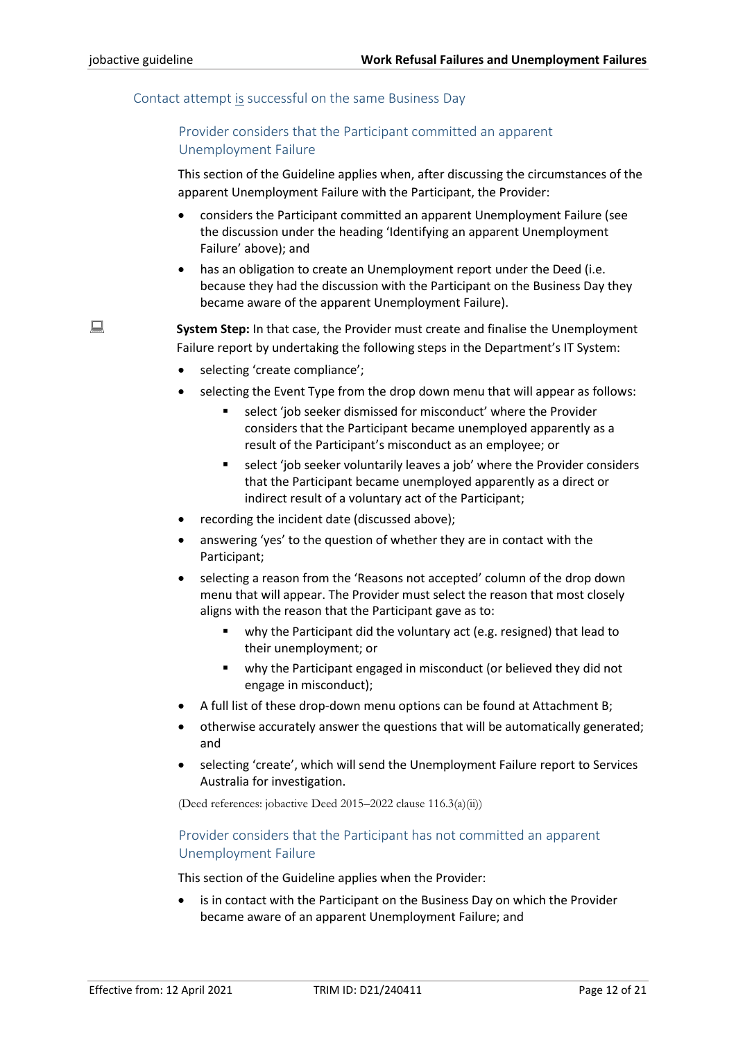### <span id="page-11-0"></span>Contact attempt is successful on the same Business Day

# Provider considers that the Participant committed an apparent Unemployment Failure

This section of the Guideline applies when, after discussing the circumstances of the apparent Unemployment Failure with the Participant, the Provider:

- considers the Participant committed an apparent Unemployment Failure (see the discussion under the heading 'Identifying an apparent Unemployment Failure' above); and
- has an obligation to create an Unemployment report under the Deed (i.e. because they had the discussion with the Participant on the Business Day they became aware of the apparent Unemployment Failure).

**System Step:** In that case, the Provider must create and finalise the Unemployment Failure report by undertaking the following steps in the Department's IT System:

- selecting 'create compliance';
- selecting the Event Type from the drop down menu that will appear as follows:
	- select 'job seeker dismissed for misconduct' where the Provider considers that the Participant became unemployed apparently as a result of the Participant's misconduct as an employee; or
	- select 'job seeker voluntarily leaves a job' where the Provider considers that the Participant became unemployed apparently as a direct or indirect result of a voluntary act of the Participant;
- recording the incident date (discussed above);
- answering 'yes' to the question of whether they are in contact with the Participant;
- selecting a reason from the 'Reasons not accepted' column of the drop down menu that will appear. The Provider must select the reason that most closely aligns with the reason that the Participant gave as to:
	- why the Participant did the voluntary act (e.g. resigned) that lead to their unemployment; or
	- why the Participant engaged in misconduct (or believed they did not engage in misconduct);
- A full list of these drop-down menu options can be found at Attachment B;
- otherwise accurately answer the questions that will be automatically generated; and
- selecting 'create', which will send the Unemployment Failure report to Services Australia for investigation.

(Deed references: jobactive Deed 2015–2022 clause 116.3(a)(ii))

# Provider considers that the Participant has not committed an apparent Unemployment Failure

This section of the Guideline applies when the Provider:

is in contact with the Participant on the Business Day on which the Provider became aware of an apparent Unemployment Failure; and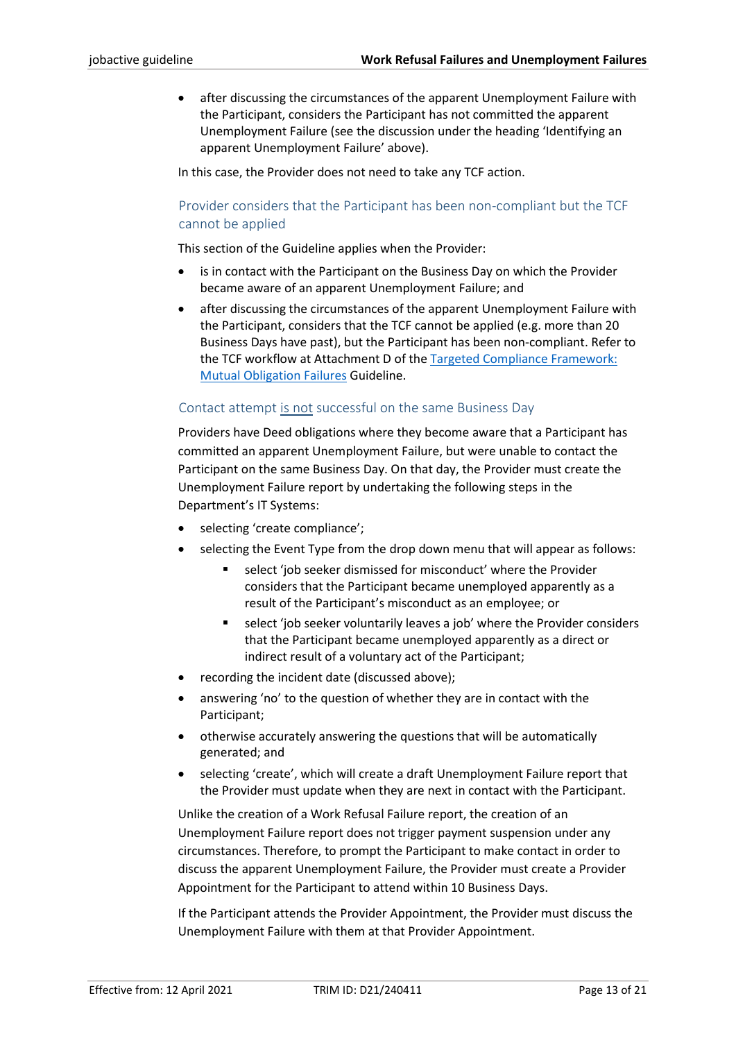• after discussing the circumstances of the apparent Unemployment Failure with the Participant, considers the Participant has not committed the apparent Unemployment Failure (see the discussion under the heading 'Identifying an apparent Unemployment Failure' above).

In this case, the Provider does not need to take any TCF action.

# Provider considers that the Participant has been non-compliant but the TCF cannot be applied

This section of the Guideline applies when the Provider:

- is in contact with the Participant on the Business Day on which the Provider became aware of an apparent Unemployment Failure; and
- after discussing the circumstances of the apparent Unemployment Failure with the Participant, considers that the TCF cannot be applied (e.g. more than 20 Business Days have past), but the Participant has been non-compliant. Refer to the TCF workflow at Attachment D of the [Targeted Compliance Framework:](https://ecsnaccess.gov.au/ProviderPortal/jobactive/Guidelines/Pages/Participation-and-Compliance-Framework.aspx)  [Mutual Obligation Failures](https://ecsnaccess.gov.au/ProviderPortal/jobactive/Guidelines/Pages/Participation-and-Compliance-Framework.aspx) Guideline.

## Contact attempt is not successful on the same Business Day

Providers have Deed obligations where they become aware that a Participant has committed an apparent Unemployment Failure, but were unable to contact the Participant on the same Business Day. On that day, the Provider must create the Unemployment Failure report by undertaking the following steps in the Department's IT Systems:

- selecting 'create compliance';
- selecting the Event Type from the drop down menu that will appear as follows:
	- select 'job seeker dismissed for misconduct' where the Provider considers that the Participant became unemployed apparently as a result of the Participant's misconduct as an employee; or
	- select 'job seeker voluntarily leaves a job' where the Provider considers that the Participant became unemployed apparently as a direct or indirect result of a voluntary act of the Participant;
- recording the incident date (discussed above);
- answering 'no' to the question of whether they are in contact with the Participant;
- otherwise accurately answering the questions that will be automatically generated; and
- selecting 'create', which will create a draft Unemployment Failure report that the Provider must update when they are next in contact with the Participant.

Unlike the creation of a Work Refusal Failure report, the creation of an Unemployment Failure report does not trigger payment suspension under any circumstances. Therefore, to prompt the Participant to make contact in order to discuss the apparent Unemployment Failure, the Provider must create a Provider Appointment for the Participant to attend within 10 Business Days.

If the Participant attends the Provider Appointment, the Provider must discuss the Unemployment Failure with them at that Provider Appointment.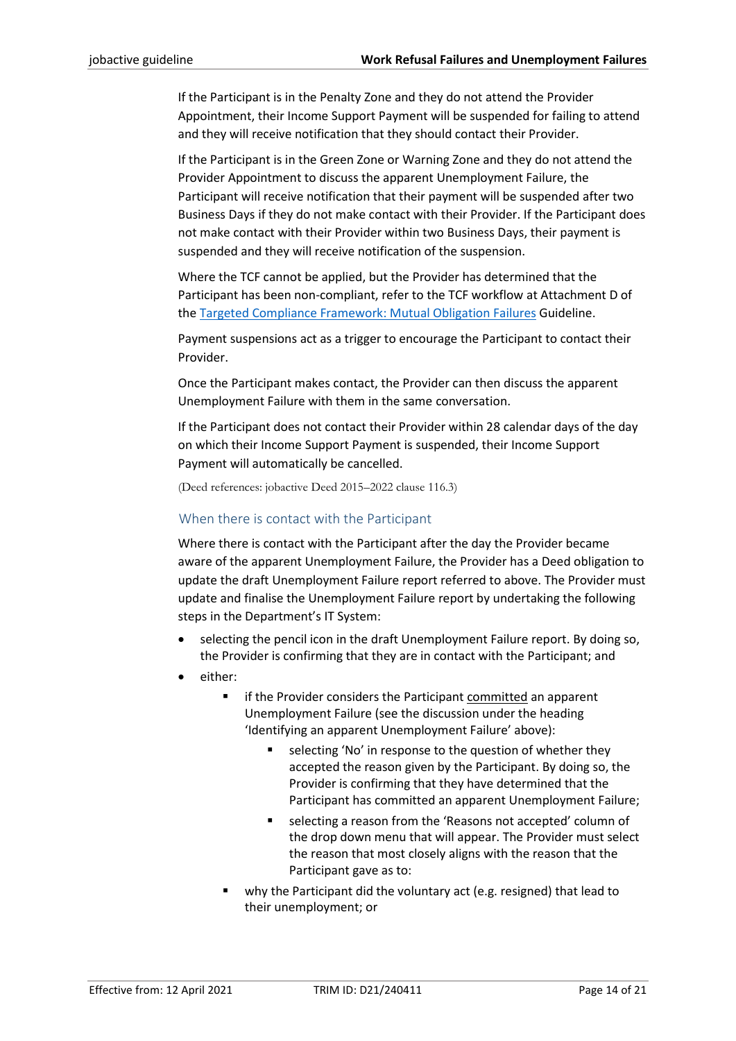If the Participant is in the Penalty Zone and they do not attend the Provider Appointment, their Income Support Payment will be suspended for failing to attend and they will receive notification that they should contact their Provider.

If the Participant is in the Green Zone or Warning Zone and they do not attend the Provider Appointment to discuss the apparent Unemployment Failure, the Participant will receive notification that their payment will be suspended after two Business Days if they do not make contact with their Provider. If the Participant does not make contact with their Provider within two Business Days, their payment is suspended and they will receive notification of the suspension.

Where the TCF cannot be applied, but the Provider has determined that the Participant has been non-compliant, refer to the TCF workflow at Attachment D of the [Targeted Compliance Framework: Mutual Obligation Failures](https://ecsnaccess.gov.au/ProviderPortal/jobactive/Guidelines/Pages/Participation-and-Compliance-Framework.aspx) Guideline.

Payment suspensions act as a trigger to encourage the Participant to contact their Provider.

Once the Participant makes contact, the Provider can then discuss the apparent Unemployment Failure with them in the same conversation.

If the Participant does not contact their Provider within 28 calendar days of the day on which their Income Support Payment is suspended, their Income Support Payment will automatically be cancelled.

(Deed references: jobactive Deed 2015–2022 clause 116.3)

## When there is contact with the Participant

Where there is contact with the Participant after the day the Provider became aware of the apparent Unemployment Failure, the Provider has a Deed obligation to update the draft Unemployment Failure report referred to above. The Provider must update and finalise the Unemployment Failure report by undertaking the following steps in the Department's IT System:

- selecting the pencil icon in the draft Unemployment Failure report. By doing so, the Provider is confirming that they are in contact with the Participant; and
- either:
	- if the Provider considers the Participant committed an apparent Unemployment Failure (see the discussion under the heading 'Identifying an apparent Unemployment Failure' above):
		- selecting 'No' in response to the question of whether they accepted the reason given by the Participant. By doing so, the Provider is confirming that they have determined that the Participant has committed an apparent Unemployment Failure;
		- selecting a reason from the 'Reasons not accepted' column of the drop down menu that will appear. The Provider must select the reason that most closely aligns with the reason that the Participant gave as to:
	- why the Participant did the voluntary act (e.g. resigned) that lead to their unemployment; or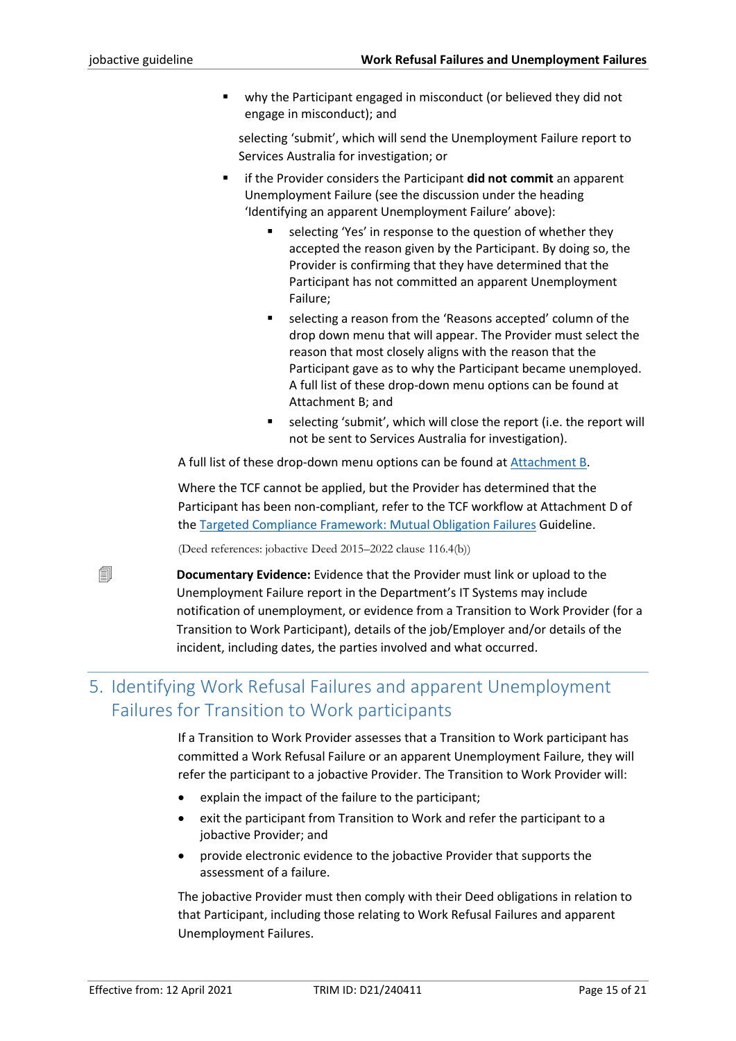why the Participant engaged in misconduct (or believed they did not engage in misconduct); and

selecting 'submit', which will send the Unemployment Failure report to Services Australia for investigation; or

- if the Provider considers the Participant **did not commit** an apparent Unemployment Failure (see the discussion under the heading 'Identifying an apparent Unemployment Failure' above):
	- selecting 'Yes' in response to the question of whether they accepted the reason given by the Participant. By doing so, the Provider is confirming that they have determined that the Participant has not committed an apparent Unemployment Failure;
	- selecting a reason from the 'Reasons accepted' column of the drop down menu that will appear. The Provider must select the reason that most closely aligns with the reason that the Participant gave as to why the Participant became unemployed. A full list of these drop-down menu options can be found at Attachment B; and
	- selecting 'submit', which will close the report (i.e. the report will not be sent to Services Australia for investigation).

A full list of these drop-down menu options can be found at [Attachment B.](#page-18-0)

Where the TCF cannot be applied, but the Provider has determined that the Participant has been non-compliant, refer to the TCF workflow at Attachment D of th[e Targeted Compliance Framework: Mutual Obligation Failures](https://ecsnaccess.gov.au/ProviderPortal/jobactive/Guidelines/Pages/Participation-and-Compliance-Framework.aspx) Guideline.

(Deed references: jobactive Deed 2015–2022 clause 116.4(b))

 **Documentary Evidence:** Evidence that the Provider must link or upload to the Unemployment Failure report in the Department's IT Systems may include notification of unemployment, or evidence from a Transition to Work Provider (for a Transition to Work Participant), details of the job/Employer and/or details of the incident, including dates, the parties involved and what occurred.

# <span id="page-14-0"></span>5. Identifying Work Refusal Failures and apparent Unemployment Failures for Transition to Work participants

If a Transition to Work Provider assesses that a Transition to Work participant has committed a Work Refusal Failure or an apparent Unemployment Failure, they will refer the participant to a jobactive Provider. The Transition to Work Provider will:

- explain the impact of the failure to the participant;
- exit the participant from Transition to Work and refer the participant to a jobactive Provider; and
- provide electronic evidence to the jobactive Provider that supports the assessment of a failure.

The jobactive Provider must then comply with their Deed obligations in relation to that Participant, including those relating to Work Refusal Failures and apparent Unemployment Failures.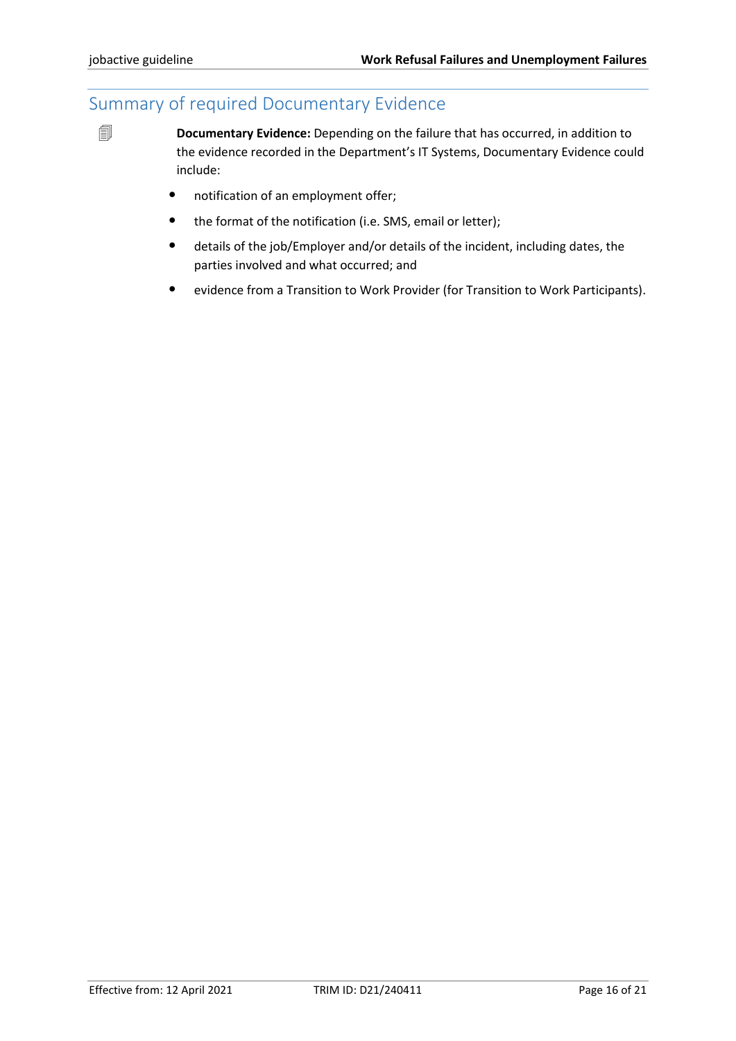# <span id="page-15-0"></span>Summary of required Documentary Evidence

*Documentary Evidence: Depending on the failure that has occurred, in addition to* the evidence recorded in the Department's IT Systems, Documentary Evidence could include:

- notification of an employment offer;
- the format of the notification (i.e. SMS, email or letter);
- details of the job/Employer and/or details of the incident, including dates, the parties involved and what occurred; and
- evidence from a Transition to Work Provider (for Transition to Work Participants).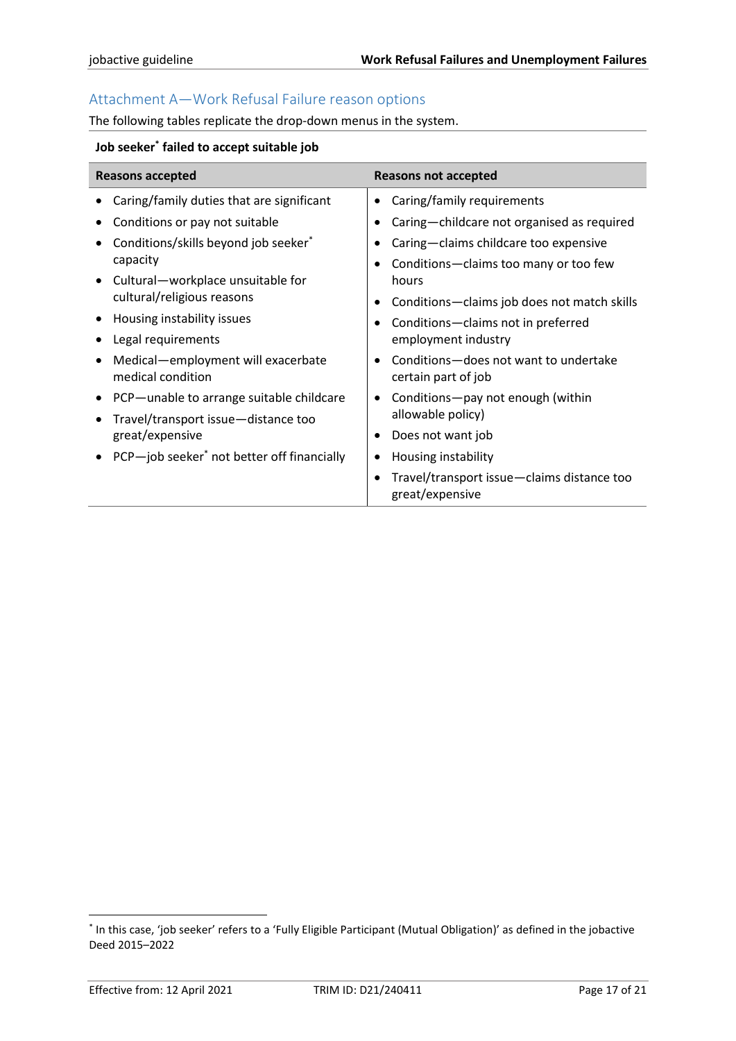# <span id="page-16-0"></span>Attachment A—Work Refusal Failure reason options

The following tables replicate the drop-down menus in the system.

## <span id="page-16-1"></span>**Job seeker\* failed to accept suitable job**

| <b>Reasons accepted</b>                                         | <b>Reasons not accepted</b>                                                |  |
|-----------------------------------------------------------------|----------------------------------------------------------------------------|--|
| Caring/family duties that are significant                       | Caring/family requirements                                                 |  |
| Conditions or pay not suitable                                  | Caring-childcare not organised as required                                 |  |
| Conditions/skills beyond job seeker*                            | Caring-claims childcare too expensive                                      |  |
| capacity                                                        | Conditions-claims too many or too few                                      |  |
| Cultural-workplace unsuitable for<br>cultural/religious reasons | hours                                                                      |  |
|                                                                 | Conditions-claims job does not match skills                                |  |
| Housing instability issues                                      | Conditions-claims not in preferred                                         |  |
| Legal requirements                                              | employment industry                                                        |  |
| Medical-employment will exacerbate<br>medical condition         | Conditions-does not want to undertake<br>certain part of job               |  |
| PCP-unable to arrange suitable childcare                        | Conditions-pay not enough (within<br>٠                                     |  |
| Travel/transport issue-distance too                             | allowable policy)                                                          |  |
| great/expensive                                                 | Does not want job<br>٠                                                     |  |
| PCP-job seeker <sup>*</sup> not better off financially          | Housing instability                                                        |  |
|                                                                 | Travel/transport issue-claims distance too<br>$\bullet$<br>great/expensive |  |

<sup>\*</sup> In this case, 'job seeker' refers to a 'Fully Eligible Participant (Mutual Obligation)' as defined in the jobactive Deed 2015–2022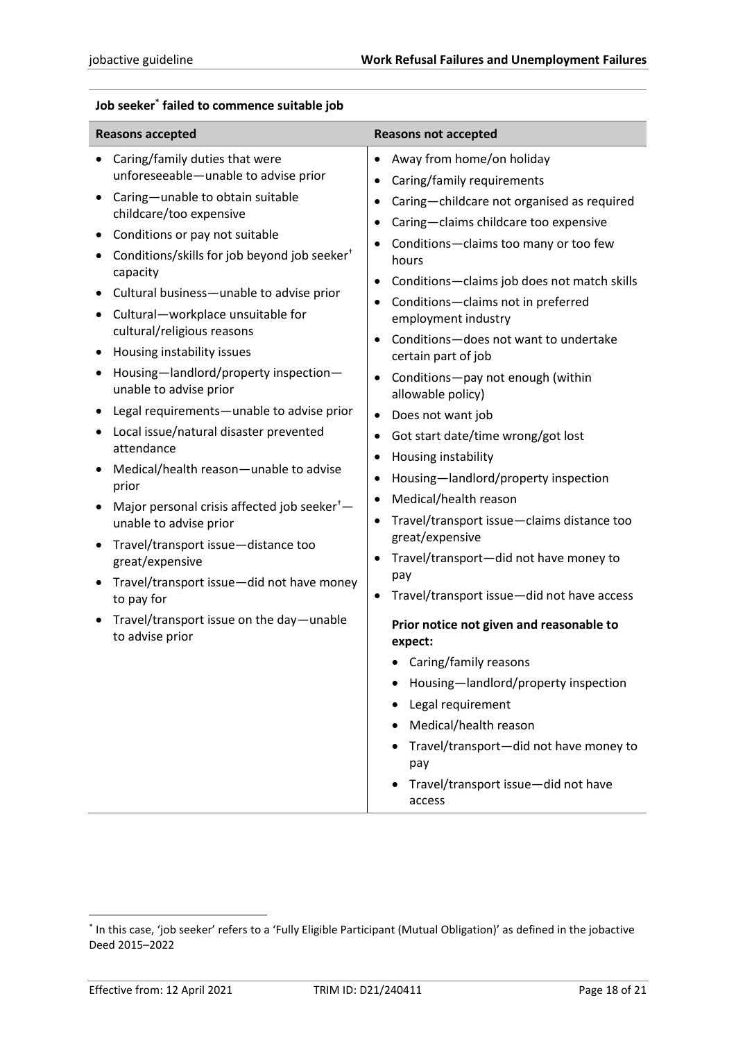<span id="page-17-0"></span>

|  |  |  | Job seeker* failed to commence suitable job |
|--|--|--|---------------------------------------------|
|--|--|--|---------------------------------------------|

| Caring/family duties that were<br>$\bullet$<br>unforeseeable-unable to advise prior<br>$\bullet$<br>Caring-unable to obtain suitable<br>٠<br>childcare/too expensive<br>$\bullet$<br>Conditions or pay not suitable<br>$\bullet$<br>Conditions/skills for job beyond job seeker <sup>+</sup><br>capacity<br>$\bullet$<br>Cultural business-unable to advise prior<br>Cultural-workplace unsuitable for<br>cultural/religious reasons<br>Housing instability issues<br>Housing-landlord/property inspection-<br>$\bullet$<br>unable to advise prior<br>Legal requirements-unable to advise prior<br>٠<br>Local issue/natural disaster prevented<br>$\bullet$<br>attendance<br>$\bullet$<br>Medical/health reason-unable to advise<br>٠<br>prior<br>$\bullet$<br>Major personal crisis affected job seeker <sup>+</sup> -<br>$\bullet$<br>unable to advise prior<br>Travel/transport issue-distance too<br>$\bullet$<br>great/expensive<br>Travel/transport issue-did not have money<br>$\bullet$<br>to pay for<br>Travel/transport issue on the day-unable<br>to advise prior | Away from home/on holiday<br>Caring/family requirements<br>Caring-childcare not organised as required<br>Caring-claims childcare too expensive<br>Conditions-claims too many or too few<br>hours<br>Conditions-claims job does not match skills<br>Conditions-claims not in preferred<br>employment industry<br>Conditions-does not want to undertake<br>certain part of job<br>Conditions-pay not enough (within<br>allowable policy)<br>Does not want job<br>Got start date/time wrong/got lost<br>Housing instability<br>Housing-landlord/property inspection<br>Medical/health reason<br>Travel/transport issue-claims distance too<br>great/expensive<br>Travel/transport-did not have money to<br>pay<br>Travel/transport issue-did not have access<br>Prior notice not given and reasonable to<br>expect:<br>• Caring/family reasons<br>Housing-landlord/property inspection<br>Legal requirement<br>Medical/health reason<br>Travel/transport-did not have money to<br>pay<br>Travel/transport issue-did not have<br>access |
|------------------------------------------------------------------------------------------------------------------------------------------------------------------------------------------------------------------------------------------------------------------------------------------------------------------------------------------------------------------------------------------------------------------------------------------------------------------------------------------------------------------------------------------------------------------------------------------------------------------------------------------------------------------------------------------------------------------------------------------------------------------------------------------------------------------------------------------------------------------------------------------------------------------------------------------------------------------------------------------------------------------------------------------------------------------------------|-------------------------------------------------------------------------------------------------------------------------------------------------------------------------------------------------------------------------------------------------------------------------------------------------------------------------------------------------------------------------------------------------------------------------------------------------------------------------------------------------------------------------------------------------------------------------------------------------------------------------------------------------------------------------------------------------------------------------------------------------------------------------------------------------------------------------------------------------------------------------------------------------------------------------------------------------------------------------------------------------------------------------------------|

<sup>\*</sup> In this case, 'job seeker' refers to a 'Fully Eligible Participant (Mutual Obligation)' as defined in the jobactive Deed 2015–2022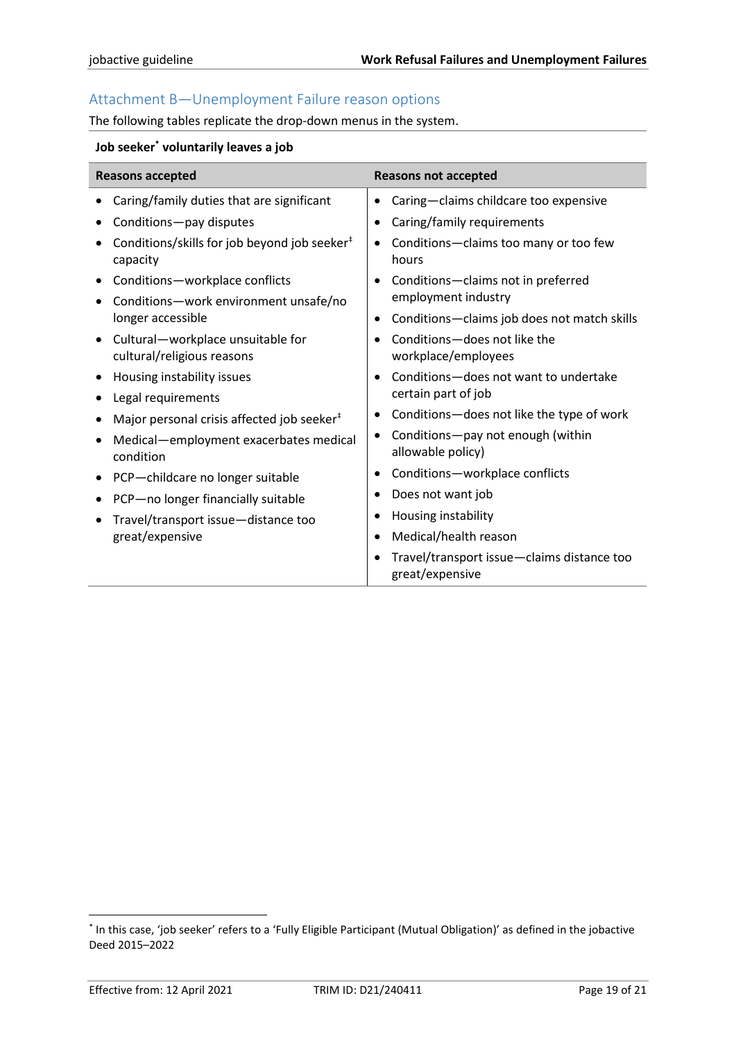# <span id="page-18-0"></span>Attachment B—Unemployment Failure reason options

The following tables replicate the drop-down menus in the system.

## <span id="page-18-1"></span>**Job seeker\* voluntarily leaves a job**

| <b>Reasons accepted</b>                                                                                                                                                                                                                                                                                                                                                                                                                                                                                                  | <b>Reasons not accepted</b>                                                                                                                                                                                                                                                                                                                                                                                                                                                                                                                                                                         |  |
|--------------------------------------------------------------------------------------------------------------------------------------------------------------------------------------------------------------------------------------------------------------------------------------------------------------------------------------------------------------------------------------------------------------------------------------------------------------------------------------------------------------------------|-----------------------------------------------------------------------------------------------------------------------------------------------------------------------------------------------------------------------------------------------------------------------------------------------------------------------------------------------------------------------------------------------------------------------------------------------------------------------------------------------------------------------------------------------------------------------------------------------------|--|
| Caring/family duties that are significant<br>Conditions-pay disputes<br>Conditions/skills for job beyond job seeker <sup>#</sup><br>capacity<br>Conditions-workplace conflicts<br>Conditions-work environment unsafe/no<br>longer accessible<br>Cultural-workplace unsuitable for<br>cultural/religious reasons<br>Housing instability issues<br>Legal requirements<br>Major personal crisis affected job seeker <sup>#</sup><br>Medical-employment exacerbates medical<br>condition<br>PCP-childcare no longer suitable | Caring-claims childcare too expensive<br>$\bullet$<br>Caring/family requirements<br>٠<br>Conditions-claims too many or too few<br>٠<br>hours<br>Conditions-claims not in preferred<br>$\bullet$<br>employment industry<br>Conditions-claims job does not match skills<br>$\bullet$<br>Conditions-does not like the<br>workplace/employees<br>Conditions-does not want to undertake<br>certain part of job<br>Conditions-does not like the type of work<br>٠<br>Conditions-pay not enough (within<br>٠<br>allowable policy)<br>Conditions-workplace conflicts<br>٠<br>Does not want job<br>$\bullet$ |  |
| PCP-no longer financially suitable                                                                                                                                                                                                                                                                                                                                                                                                                                                                                       | Housing instability<br>٠                                                                                                                                                                                                                                                                                                                                                                                                                                                                                                                                                                            |  |
|                                                                                                                                                                                                                                                                                                                                                                                                                                                                                                                          |                                                                                                                                                                                                                                                                                                                                                                                                                                                                                                                                                                                                     |  |
| Travel/transport issue-distance too<br>great/expensive                                                                                                                                                                                                                                                                                                                                                                                                                                                                   | Medical/health reason<br>$\bullet$<br>Travel/transport issue-claims distance too<br>great/expensive                                                                                                                                                                                                                                                                                                                                                                                                                                                                                                 |  |

<sup>\*</sup> In this case, 'job seeker' refers to a 'Fully Eligible Participant (Mutual Obligation)' as defined in the jobactive Deed 2015–2022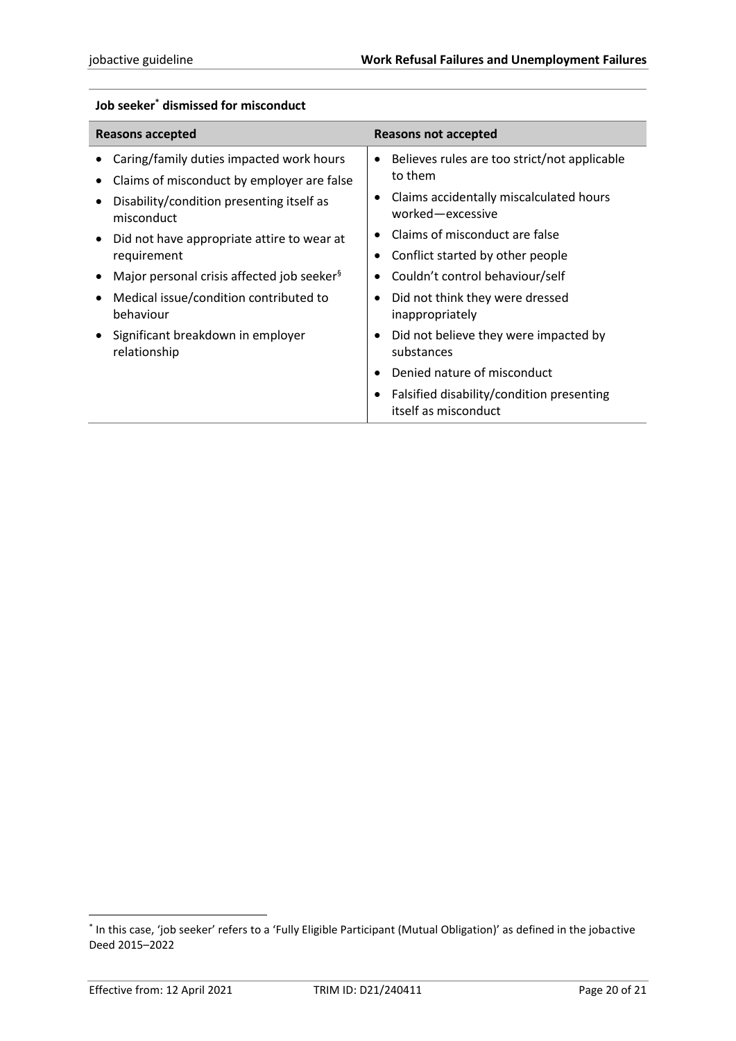| <b>Reasons accepted</b>                                                                                                                                                                                        | Reasons not accepted                                                                                                                                                                              |  |
|----------------------------------------------------------------------------------------------------------------------------------------------------------------------------------------------------------------|---------------------------------------------------------------------------------------------------------------------------------------------------------------------------------------------------|--|
| Caring/family duties impacted work hours<br>Claims of misconduct by employer are false<br>Disability/condition presenting itself as<br>misconduct<br>Did not have appropriate attire to wear at<br>requirement | Believes rules are too strict/not applicable<br>٠<br>to them<br>Claims accidentally miscalculated hours<br>worked-excessive<br>Claims of misconduct are false<br>Conflict started by other people |  |
| Major personal crisis affected job seeker <sup>§</sup>                                                                                                                                                         | Couldn't control behaviour/self                                                                                                                                                                   |  |
| Medical issue/condition contributed to<br>behaviour                                                                                                                                                            | Did not think they were dressed<br>inappropriately                                                                                                                                                |  |
| Significant breakdown in employer<br>relationship                                                                                                                                                              | Did not believe they were impacted by<br>substances                                                                                                                                               |  |
|                                                                                                                                                                                                                | Denied nature of misconduct                                                                                                                                                                       |  |
|                                                                                                                                                                                                                | Falsified disability/condition presenting<br>itself as misconduct                                                                                                                                 |  |

# <span id="page-19-0"></span>**Job seeker\* dismissed for misconduct**

<sup>\*</sup> In this case, 'job seeker' refers to a 'Fully Eligible Participant (Mutual Obligation)' as defined in the jobactive Deed 2015–2022